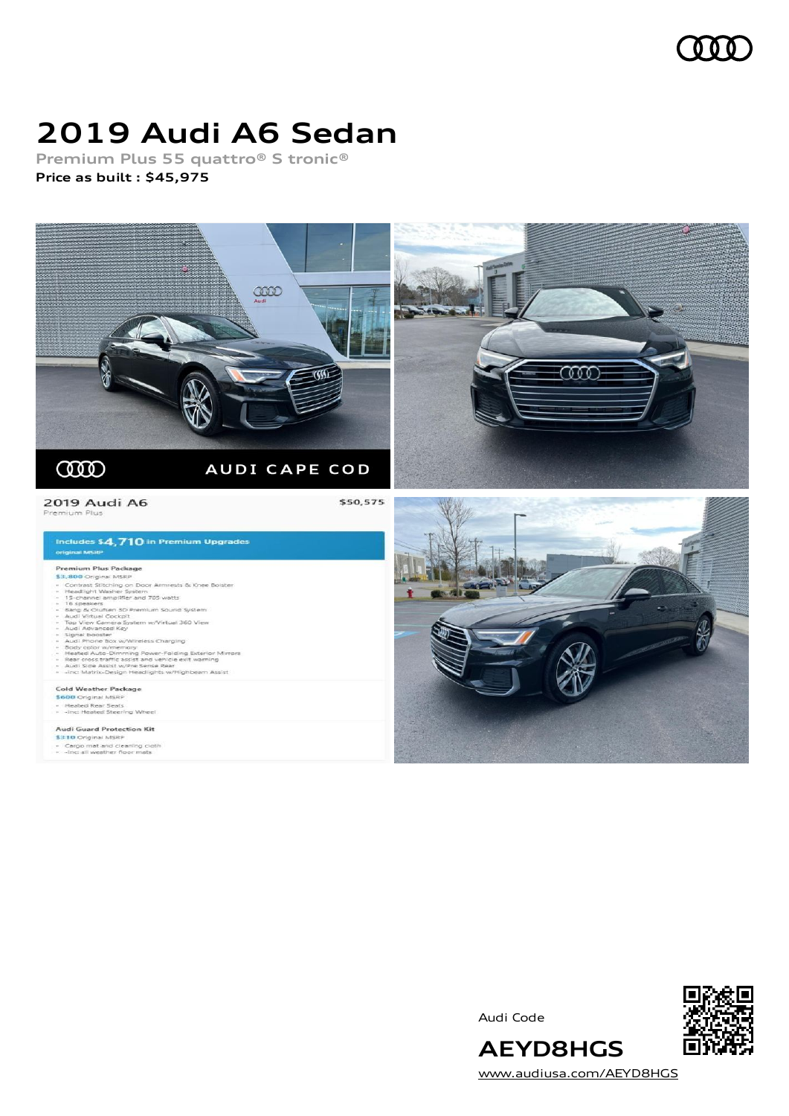

## **2019 Audi A6 Sedan**

**Premium Plus 55 quattro® S tronic® Price as built [:](#page-8-0) \$45,975**



Audi Code



[www.audiusa.com/AEYD8HGS](https://www.audiusa.com/AEYD8HGS)

**AEYD8HGS**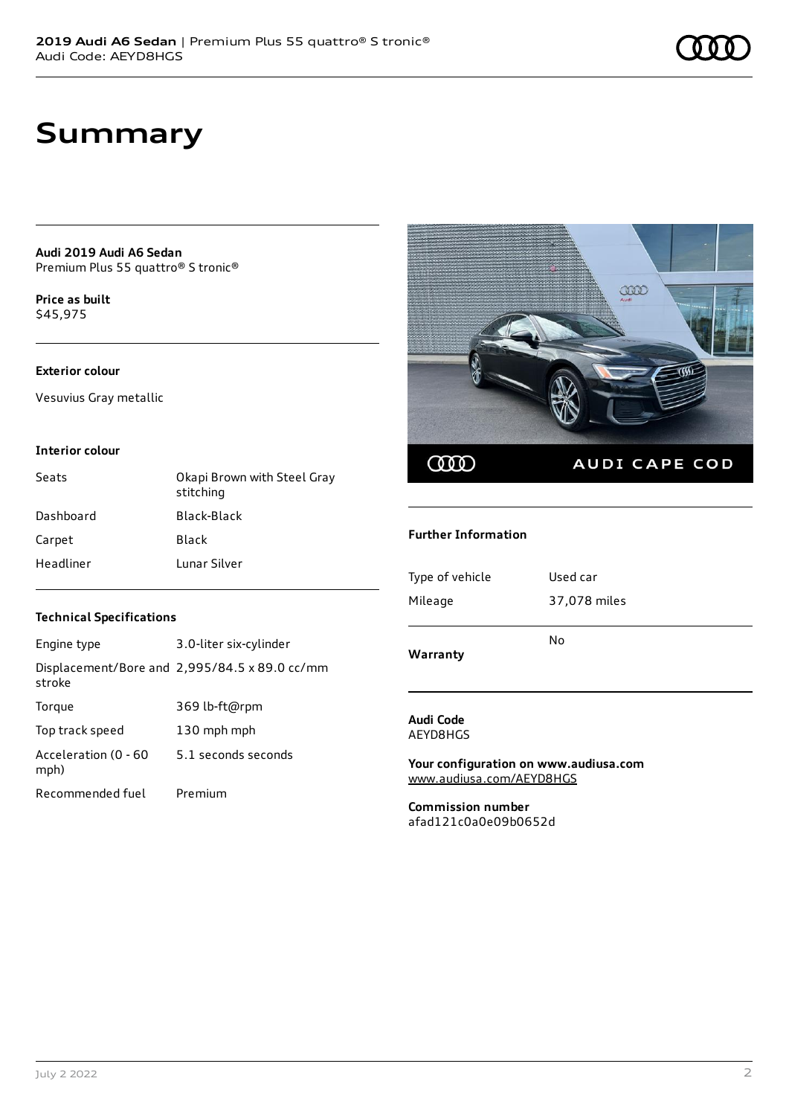**Audi 2019 Audi A6 Sedan** Premium Plus 55 quattro® S tronic®

**Price as buil[t](#page-8-0)** \$45,975

### **Exterior colour**

Vesuvius Gray metallic

#### **Interior colour**

| Seats     | Okapi Brown with Steel Gray<br>stitching |
|-----------|------------------------------------------|
| Dashboard | Black-Black                              |
| Carpet    | Black                                    |
| Headliner | Lunar Silver                             |



#### **Further Information**

| $AA = 0.0000$ and $A = 0.0000$ | No           |
|--------------------------------|--------------|
| Mileage                        | 37,078 miles |
| Type of vehicle                | Used car     |

**Warranty**

#### **Audi Code** AEYD8HGS

**Your configuration on www.audiusa.com** [www.audiusa.com/AEYD8HGS](https://www.audiusa.com/AEYD8HGS)

**Commission number** afad121c0a0e09b0652d

#### **Technical Specifications**

| Engine type                  | 3.0-liter six-cylinder                        |
|------------------------------|-----------------------------------------------|
| stroke                       | Displacement/Bore and 2,995/84.5 x 89.0 cc/mm |
| Torque                       | 369 lb-ft@rpm                                 |
| Top track speed              | 130 mph mph                                   |
| Acceleration (0 - 60<br>mph) | 5.1 seconds seconds                           |
| Recommended fuel             | Premium                                       |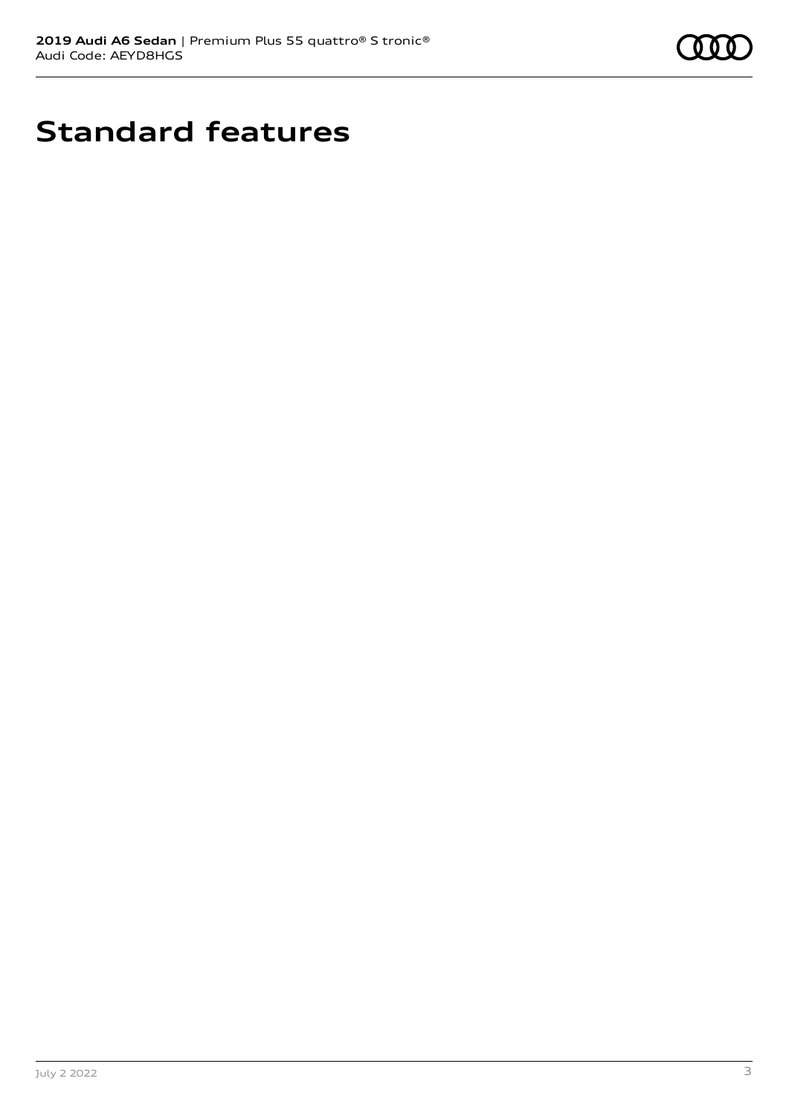

# **Standard features**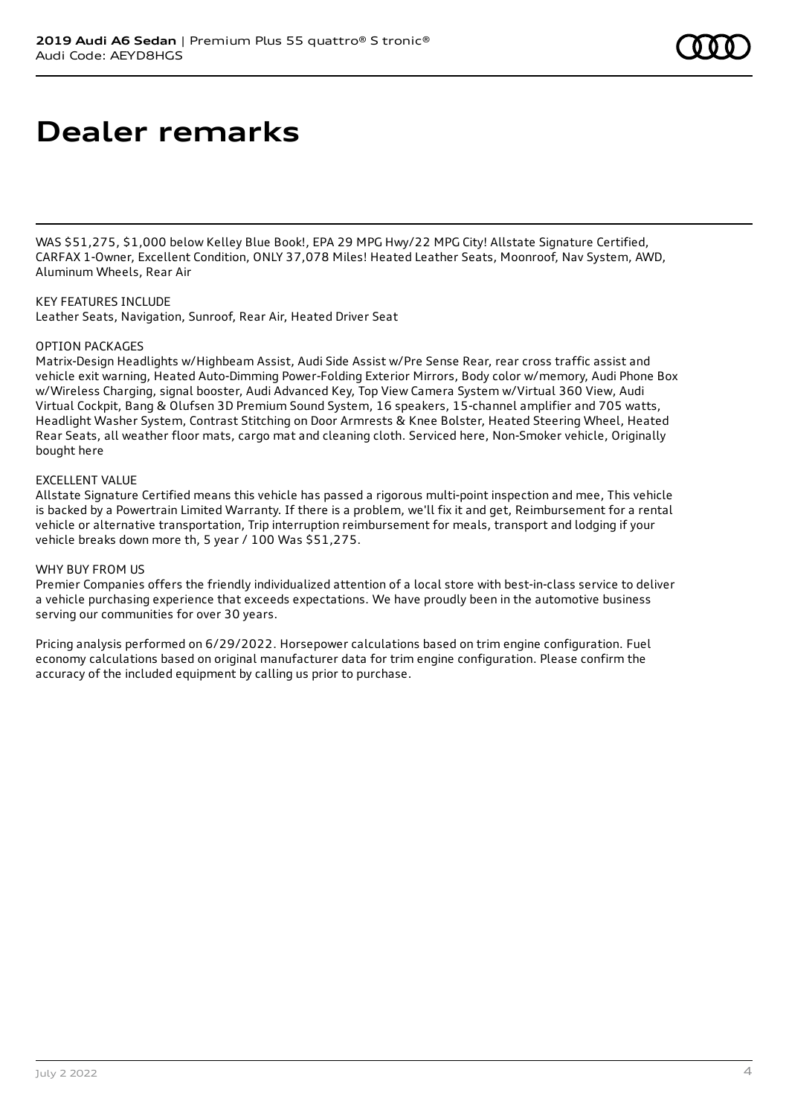## **Dealer remarks**

WAS \$51,275, \$1,000 below Kelley Blue Book!, EPA 29 MPG Hwy/22 MPG City! Allstate Signature Certified, CARFAX 1-Owner, Excellent Condition, ONLY 37,078 Miles! Heated Leather Seats, Moonroof, Nav System, AWD, Aluminum Wheels, Rear Air

KEY FEATURES INCLUDE Leather Seats, Navigation, Sunroof, Rear Air, Heated Driver Seat

#### OPTION PACKAGES

Matrix-Design Headlights w/Highbeam Assist, Audi Side Assist w/Pre Sense Rear, rear cross traffic assist and vehicle exit warning, Heated Auto-Dimming Power-Folding Exterior Mirrors, Body color w/memory, Audi Phone Box w/Wireless Charging, signal booster, Audi Advanced Key, Top View Camera System w/Virtual 360 View, Audi Virtual Cockpit, Bang & Olufsen 3D Premium Sound System, 16 speakers, 15-channel amplifier and 705 watts, Headlight Washer System, Contrast Stitching on Door Armrests & Knee Bolster, Heated Steering Wheel, Heated Rear Seats, all weather floor mats, cargo mat and cleaning cloth. Serviced here, Non-Smoker vehicle, Originally bought here

#### EXCELLENT VALUE

Allstate Signature Certified means this vehicle has passed a rigorous multi-point inspection and mee, This vehicle is backed by a Powertrain Limited Warranty. If there is a problem, we'll fix it and get, Reimbursement for a rental vehicle or alternative transportation, Trip interruption reimbursement for meals, transport and lodging if your vehicle breaks down more th, 5 year / 100 Was \$51,275.

#### WHY BUY FROM US

Premier Companies offers the friendly individualized attention of a local store with best-in-class service to deliver a vehicle purchasing experience that exceeds expectations. We have proudly been in the automotive business serving our communities for over 30 years.

Pricing analysis performed on 6/29/2022. Horsepower calculations based on trim engine configuration. Fuel economy calculations based on original manufacturer data for trim engine configuration. Please confirm the accuracy of the included equipment by calling us prior to purchase.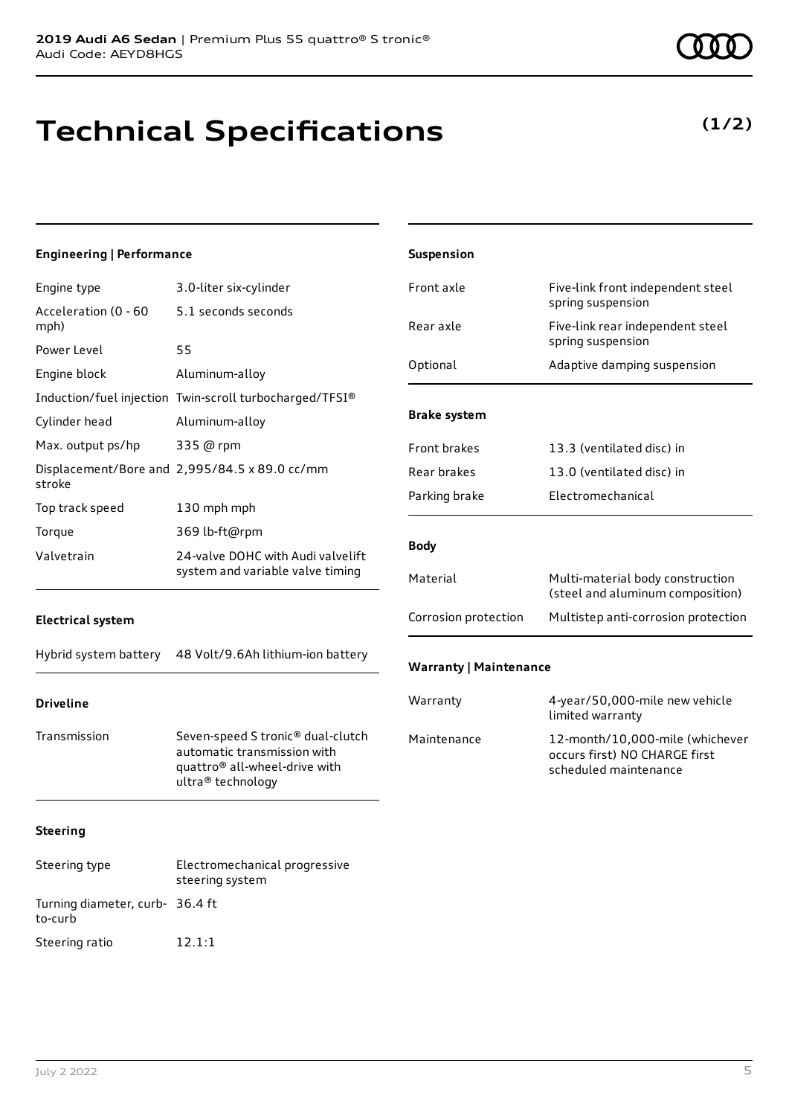# **Technical Specifications**

| <b>Engineering   Performance</b>               |                                                                                                                                    | Suspension                    |                                                                                           |
|------------------------------------------------|------------------------------------------------------------------------------------------------------------------------------------|-------------------------------|-------------------------------------------------------------------------------------------|
| Engine type                                    | 3.0-liter six-cylinder                                                                                                             | Front axle                    | Five-link front independent steel                                                         |
| Acceleration (0 - 60<br>mph)                   | 5.1 seconds seconds                                                                                                                | Rear axle                     | spring suspension<br>Five-link rear independent steel                                     |
| Power Level                                    | 55                                                                                                                                 |                               | spring suspension                                                                         |
| Engine block                                   | Aluminum-alloy                                                                                                                     | Optional                      | Adaptive damping suspension                                                               |
|                                                | Induction/fuel injection Twin-scroll turbocharged/TFSI®                                                                            |                               |                                                                                           |
| Cylinder head                                  | Aluminum-alloy                                                                                                                     | <b>Brake system</b>           |                                                                                           |
| Max. output ps/hp                              | 335 @ rpm                                                                                                                          | Front brakes                  | 13.3 (ventilated disc) in                                                                 |
| stroke                                         | Displacement/Bore and 2,995/84.5 x 89.0 cc/mm                                                                                      | Rear brakes                   | 13.0 (ventilated disc) in                                                                 |
| Top track speed                                | 130 mph mph                                                                                                                        | Parking brake                 | Electromechanical                                                                         |
| Torque                                         | 369 lb-ft@rpm                                                                                                                      |                               |                                                                                           |
| Valvetrain<br>system and variable valve timing | 24-valve DOHC with Audi valvelift                                                                                                  | <b>Body</b>                   |                                                                                           |
|                                                |                                                                                                                                    | Material                      | Multi-material body construction<br>(steel and aluminum composition)                      |
| <b>Electrical system</b>                       |                                                                                                                                    | Corrosion protection          | Multistep anti-corrosion protection                                                       |
| Hybrid system battery                          | 48 Volt/9.6Ah lithium-ion battery                                                                                                  | <b>Warranty   Maintenance</b> |                                                                                           |
| <b>Driveline</b>                               |                                                                                                                                    | Warranty                      | 4-year/50,000-mile new vehicle<br>limited warranty                                        |
| Transmission                                   | Seven-speed S tronic® dual-clutch<br>automatic transmission with<br>quattro <sup>®</sup> all-wheel-drive with<br>ultra® technology | Maintenance                   | 12-month/10,000-mile (whichever<br>occurs first) NO CHARGE first<br>scheduled maintenance |
| <b>Steering</b>                                |                                                                                                                                    |                               |                                                                                           |
| Steering type                                  | Electromechanical progressive<br>steering system                                                                                   |                               |                                                                                           |

to-curb

Turning diameter, curb-36.4 ft

Steering ratio 12.1:1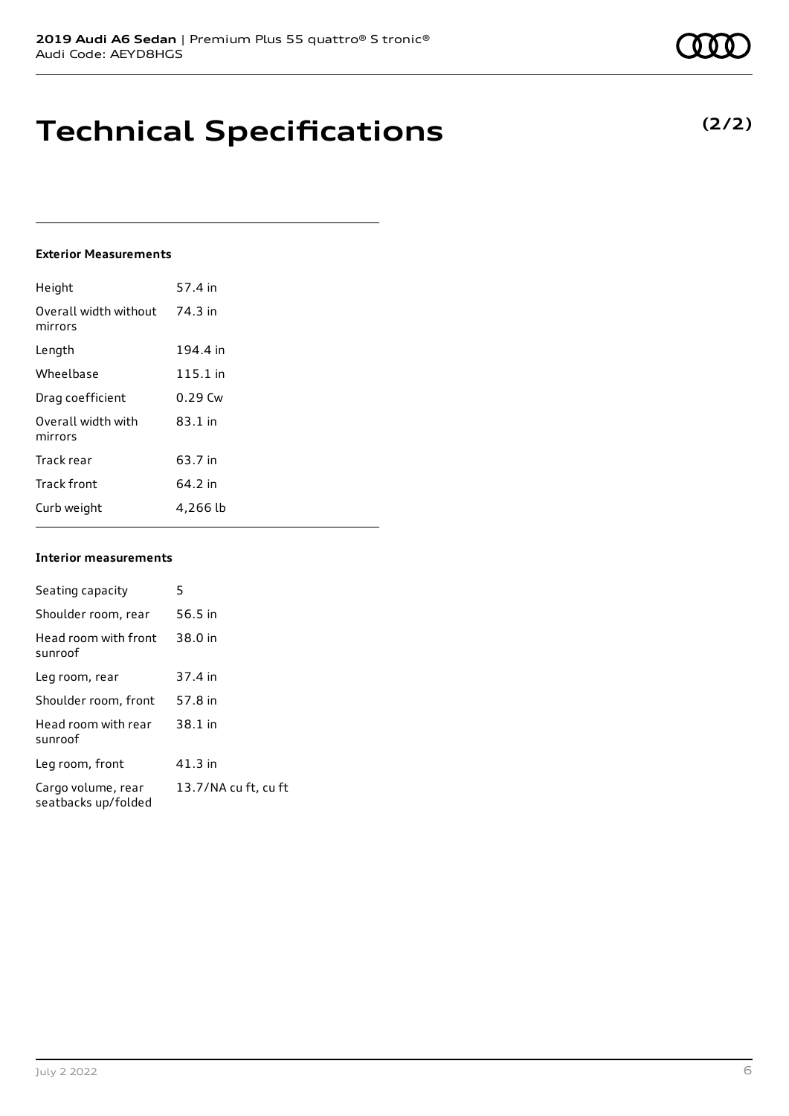## **Technical Specifications**

### **Exterior Measurements**

| Height                           | 57.4 in   |
|----------------------------------|-----------|
| Overall width without<br>mirrors | 74.3 in   |
| Length                           | 194.4 in  |
| Wheelbase                        | 115.1 in  |
| Drag coefficient                 | $0.29$ Cw |
| Overall width with<br>mirrors    | $83.1$ in |
| Track rear                       | 63.7 in   |
| <b>Track front</b>               | 64.2 in   |
| Curb weight                      | 4,266 lb  |

#### **Interior measurements**

| Seating capacity                          | 5                    |
|-------------------------------------------|----------------------|
|                                           |                      |
| Shoulder room, rear                       | 56.5 in              |
| Head room with front<br>sunroof           | 38.0 in              |
| Leg room, rear                            | 37.4 in              |
| Shoulder room, front                      | 57.8 in              |
| Head room with rear<br>sunroof            | 38.1 in              |
| Leg room, front                           | 41.3 in              |
| Cargo volume, rear<br>seatbacks up/folded | 13.7/NA cu ft, cu ft |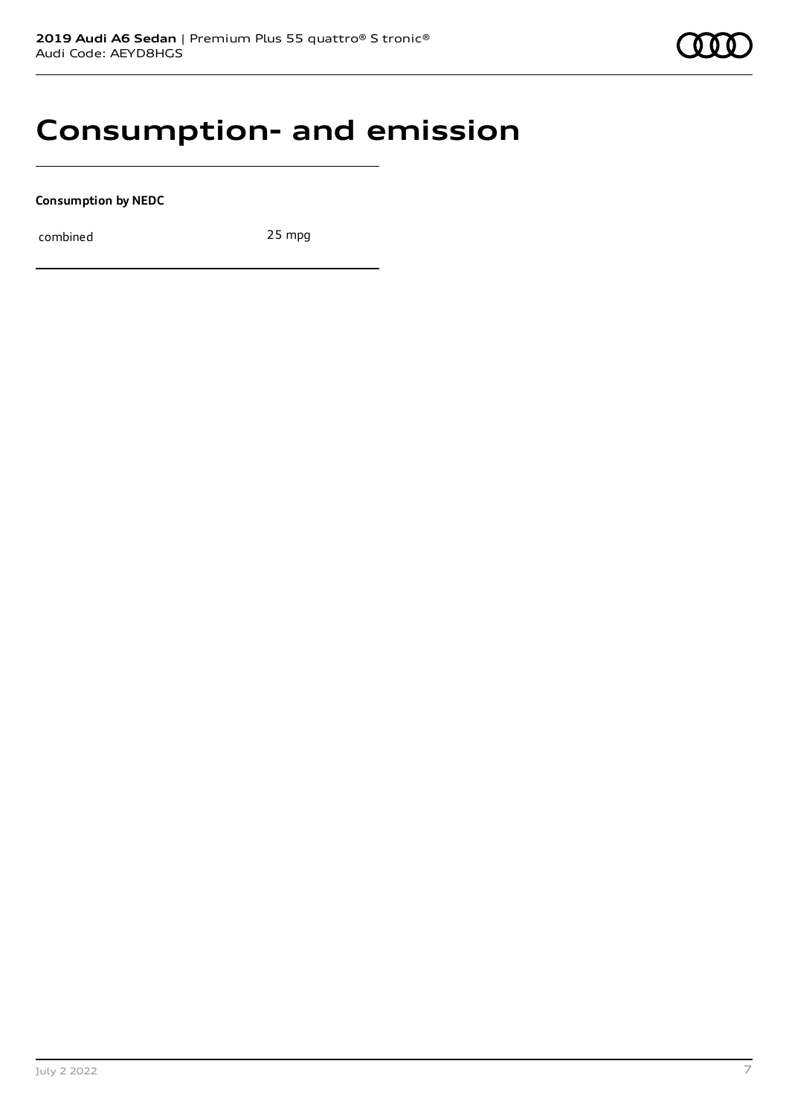### **Consumption- and emission**

**Consumption by NEDC**

combined 25 mpg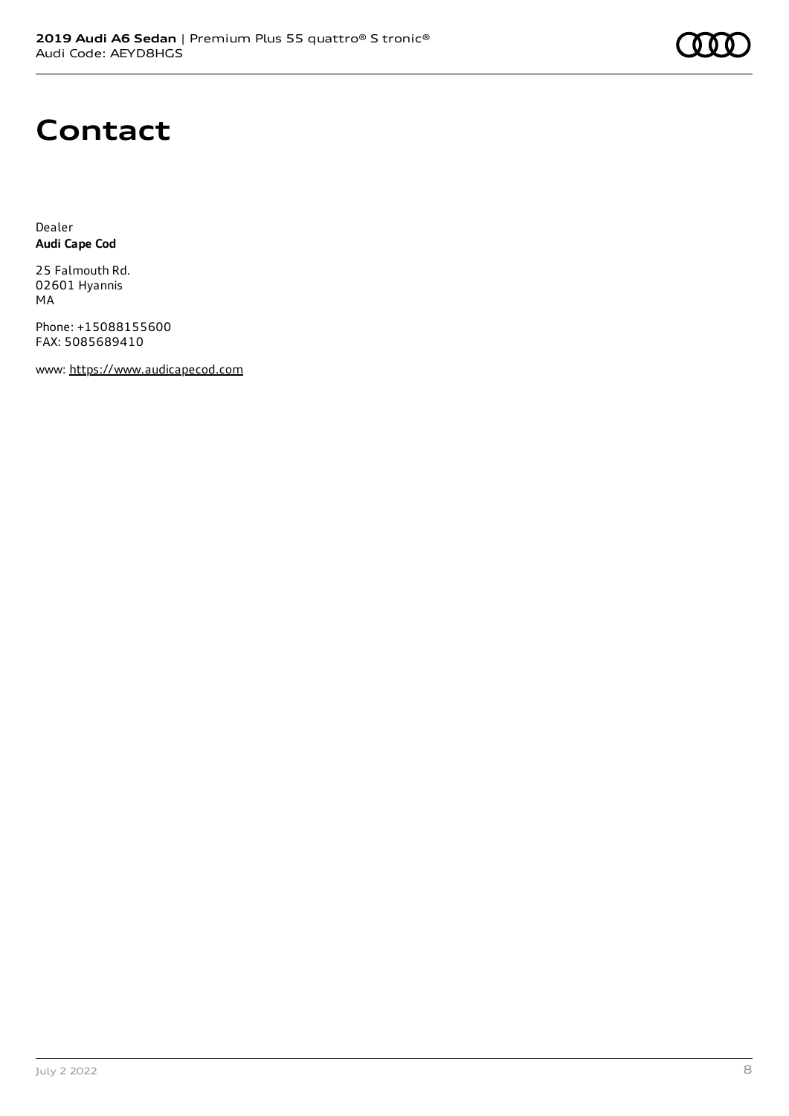## **Contact**

Dealer **Audi Cape Cod**

25 Falmouth Rd. 02601 Hyannis MA

Phone: +15088155600 FAX: 5085689410

www: [https://www.audicapecod.com](https://www.audicapecod.com/)